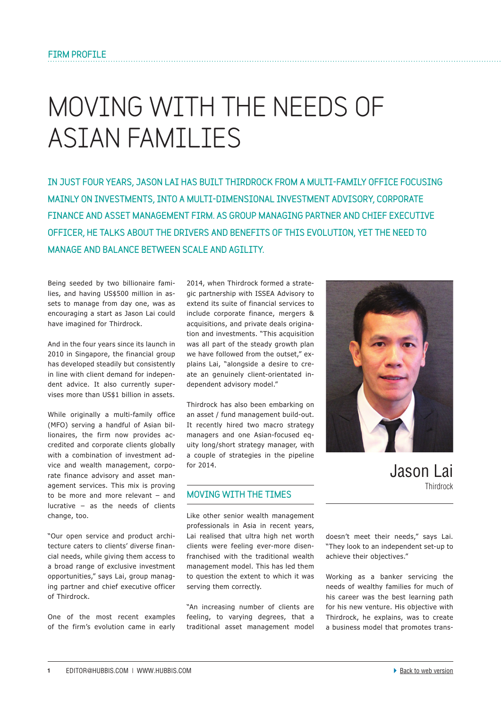## **Moving with the needs of Asian families**

In just four years, Jason Lai has built Thirdrock from a multi-family office focusing mainly on investments, into a multi-dimensional investment advisory, corporate finance and asset management firm. As group managing partner and chief executive officer, he talks about the drivers and benefits of this evolution, yet the need to manage and balance between scale and agility.

Being seeded by two billionaire families, and having US\$500 million in assets to manage from day one, was as encouraging a start as Jason Lai could have imagined for Thirdrock.

And in the four years since its launch in 2010 in Singapore, the financial group has developed steadily but consistently in line with client demand for independent advice. It also currently supervises more than US\$1 billion in assets.

While originally a multi-family office (MFO) serving a handful of Asian billionaires, the firm now provides accredited and corporate clients globally with a combination of investment advice and wealth management, corporate finance advisory and asset management services. This mix is proving to be more and more relevant – and lucrative – as the needs of clients change, too.

"Our open service and product architecture caters to clients' diverse financial needs, while giving them access to a broad range of exclusive investment opportunities," says Lai, group managing partner and chief executive officer of Thirdrock.

One of the most recent examples of the firm's evolution came in early

2014, when Thirdrock formed a strategic partnership with ISSEA Advisory to extend its suite of financial services to include corporate finance, mergers & acquisitions, and private deals origination and investments. "This acquisition was all part of the steady growth plan we have followed from the outset," explains Lai, "alongside a desire to create an genuinely client-orientated independent advisory model."

Thirdrock has also been embarking on an asset / fund management build-out. It recently hired two macro strategy managers and one Asian-focused equity long/short strategy manager, with a couple of strategies in the pipeline for 2014.

## Moving with the times

Like other senior wealth management professionals in Asia in recent years, Lai realised that ultra high net worth clients were feeling ever-more disenfranchised with the traditional wealth management model. This has led them to question the extent to which it was serving them correctly.

"An increasing number of clients are feeling, to varying degrees, that a traditional asset management model



Jason Lai Thirdrock

doesn't meet their needs," says Lai. "They look to an independent set-up to achieve their objectives."

Working as a banker servicing the needs of wealthy families for much of his career was the best learning path for his new venture. His objective with Thirdrock, he explains, was to create a business model that promotes trans-